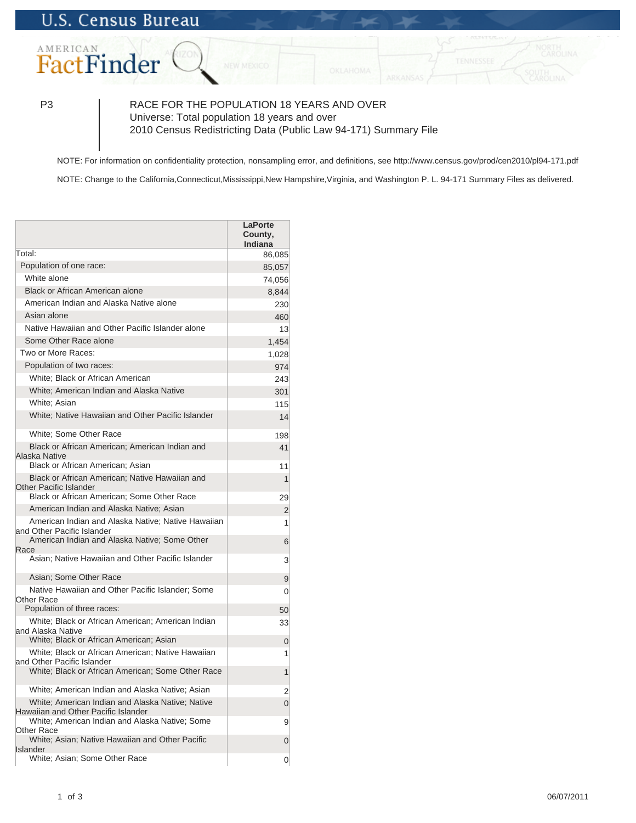

P3 RACE FOR THE POPULATION 18 YEARS AND OVER Universe: Total population 18 years and over 2010 Census Redistricting Data (Public Law 94-171) Summary File

NOTE: For information on confidentiality protection, nonsampling error, and definitions, see http://www.census.gov/prod/cen2010/pl94-171.pdf

NOTE: Change to the California, Connecticut, Mississippi, New Hampshire, Virginia, and Washington P. L. 94-171 Summary Files as delivered.

|                                                                                         | <b>LaPorte</b><br>County,<br>Indiana |
|-----------------------------------------------------------------------------------------|--------------------------------------|
| Total:                                                                                  | 86,085                               |
| Population of one race:                                                                 | 85,057                               |
| White alone                                                                             | 74,056                               |
| Black or African American alone                                                         | 8,844                                |
| American Indian and Alaska Native alone                                                 | 230                                  |
| Asian alone                                                                             | 460                                  |
| Native Hawaiian and Other Pacific Islander alone                                        | 13                                   |
| Some Other Race alone                                                                   | 1,454                                |
| Two or More Races:                                                                      | 1,028                                |
| Population of two races:                                                                | 974                                  |
| White; Black or African American                                                        | 243                                  |
| White; American Indian and Alaska Native                                                | 301                                  |
| White: Asian                                                                            | 115                                  |
| White; Native Hawaiian and Other Pacific Islander                                       | 14                                   |
| White: Some Other Race                                                                  | 198                                  |
| Black or African American; American Indian and<br>Alaska Native                         | 41                                   |
| Black or African American; Asian                                                        | 11                                   |
| Black or African American; Native Hawaiian and<br><b>Other Pacific Islander</b>         | $\mathbf{1}$                         |
| Black or African American; Some Other Race                                              | 29                                   |
| American Indian and Alaska Native; Asian                                                | $\overline{2}$                       |
| American Indian and Alaska Native; Native Hawaiian<br>and Other Pacific Islander        | 1                                    |
| American Indian and Alaska Native; Some Other<br>Race                                   | 6                                    |
| Asian; Native Hawaiian and Other Pacific Islander                                       | 3                                    |
| Asian: Some Other Race                                                                  | 9                                    |
| Native Hawaiian and Other Pacific Islander; Some<br><b>Other Race</b>                   | $\Omega$                             |
| Population of three races:                                                              | 50                                   |
| White; Black or African American; American Indian<br>and Alaska Native                  | 33                                   |
| White; Black or African American; Asian                                                 | 0                                    |
| White; Black or African American; Native Hawaiian<br>and Other Pacific Islander         | 1                                    |
| White; Black or African American; Some Other Race                                       | $\mathbf{1}$                         |
| White; American Indian and Alaska Native; Asian                                         | 2                                    |
| White; American Indian and Alaska Native; Native<br>Hawaiian and Other Pacific Islander | $\overline{0}$                       |
| White; American Indian and Alaska Native; Some<br><b>Other Race</b>                     | 9                                    |
| White; Asian; Native Hawaiian and Other Pacific<br><b>Islander</b>                      | $\overline{0}$                       |
| White; Asian; Some Other Race                                                           | 0                                    |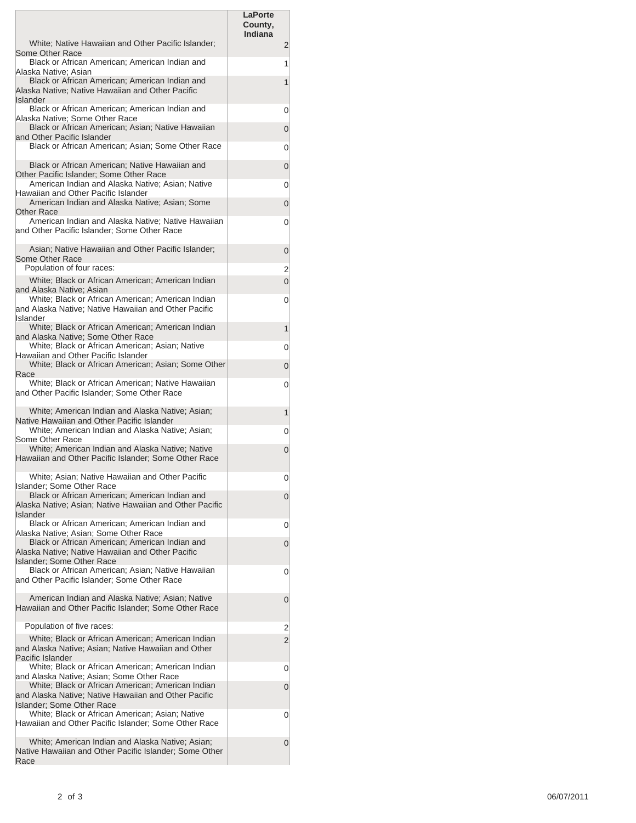|                                                                                                                                        | LaPorte                   |   |
|----------------------------------------------------------------------------------------------------------------------------------------|---------------------------|---|
|                                                                                                                                        | County,<br><b>Indiana</b> |   |
| White; Native Hawaiian and Other Pacific Islander;<br>Some Other Race                                                                  |                           | 2 |
| Black or African American; American Indian and<br>Alaska Native; Asian                                                                 |                           | 1 |
| Black or African American; American Indian and<br>Alaska Native; Native Hawaiian and Other Pacific<br><b>Islander</b>                  |                           | 1 |
| Black or African American; American Indian and<br>Alaska Native; Some Other Race                                                       |                           | 0 |
| Black or African American; Asian; Native Hawaiian<br>and Other Pacific Islander                                                        |                           | 0 |
| Black or African American; Asian; Some Other Race                                                                                      |                           | 0 |
| Black or African American; Native Hawaiian and<br>Other Pacific Islander; Some Other Race                                              |                           | 0 |
| American Indian and Alaska Native; Asian; Native<br>Hawaiian and Other Pacific Islander                                                |                           | 0 |
| American Indian and Alaska Native; Asian; Some<br>Other Race                                                                           |                           | 0 |
| American Indian and Alaska Native; Native Hawaiian<br>and Other Pacific Islander; Some Other Race                                      |                           | 0 |
| Asian; Native Hawaiian and Other Pacific Islander;<br>Some Other Race                                                                  |                           | 0 |
| Population of four races:                                                                                                              |                           | 2 |
| White; Black or African American; American Indian<br>and Alaska Native; Asian                                                          |                           | 0 |
| White; Black or African American; American Indian<br>and Alaska Native; Native Hawaiian and Other Pacific<br><b>Islander</b>           |                           | 0 |
| White; Black or African American; American Indian<br>and Alaska Native; Some Other Race                                                |                           | 1 |
| White; Black or African American; Asian; Native<br>Hawaiian and Other Pacific Islander                                                 |                           | 0 |
| White; Black or African American; Asian; Some Other<br>Race                                                                            |                           | 0 |
| White; Black or African American; Native Hawaiian<br>and Other Pacific Islander; Some Other Race                                       |                           | 0 |
| White; American Indian and Alaska Native; Asian;<br>Native Hawaiian and Other Pacific Islander                                         |                           | 1 |
| White; American Indian and Alaska Native; Asian;<br>Some Other Race                                                                    |                           | 0 |
| White; American Indian and Alaska Native; Native<br>Hawaiian and Other Pacific Islander; Some Other Race                               |                           | 0 |
| White; Asian; Native Hawaiian and Other Pacific<br>Islander: Some Other Race                                                           |                           | 0 |
| Black or African American; American Indian and<br>Alaska Native; Asian; Native Hawaiian and Other Pacific<br>Islander                  |                           | 0 |
| Black or African American; American Indian and<br>Alaska Native; Asian; Some Other Race                                                |                           | 0 |
| Black or African American; American Indian and<br>Alaska Native; Native Hawaiian and Other Pacific                                     |                           | 0 |
| Islander: Some Other Race<br>Black or African American; Asian; Native Hawaiian                                                         |                           | 0 |
| and Other Pacific Islander; Some Other Race                                                                                            |                           |   |
| American Indian and Alaska Native; Asian; Native<br>Hawaiian and Other Pacific Islander; Some Other Race                               |                           | 0 |
| Population of five races:                                                                                                              |                           | 2 |
| White; Black or African American; American Indian<br>and Alaska Native; Asian; Native Hawaiian and Other<br>Pacific Islander           |                           | 2 |
| White; Black or African American; American Indian<br>and Alaska Native; Asian; Some Other Race                                         |                           | 0 |
| White; Black or African American; American Indian<br>and Alaska Native: Native Hawaiian and Other Pacific<br>Islander: Some Other Race |                           | 0 |
| White; Black or African American; Asian; Native<br>Hawaiian and Other Pacific Islander; Some Other Race                                |                           | 0 |
| White; American Indian and Alaska Native; Asian;<br>Native Hawaiian and Other Pacific Islander; Some Other<br>Race                     |                           | 0 |